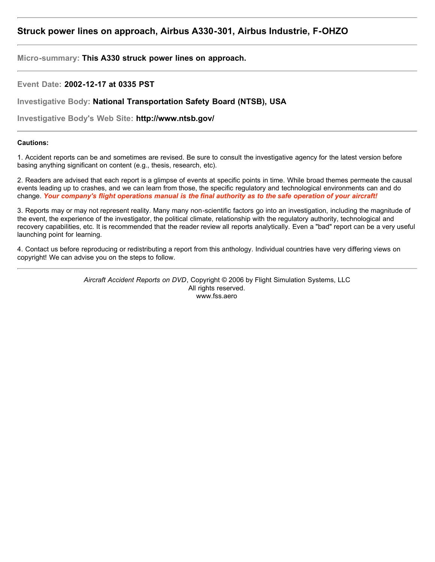# **Struck power lines on approach, Airbus A330-301, Airbus Industrie, F-OHZO**

**Micro-summary: This A330 struck power lines on approach.**

**Event Date: 2002-12-17 at 0335 PST**

**Investigative Body: National Transportation Safety Board (NTSB), USA**

**Investigative Body's Web Site: http://www.ntsb.gov/**

# **Cautions:**

1. Accident reports can be and sometimes are revised. Be sure to consult the investigative agency for the latest version before basing anything significant on content (e.g., thesis, research, etc).

2. Readers are advised that each report is a glimpse of events at specific points in time. While broad themes permeate the causal events leading up to crashes, and we can learn from those, the specific regulatory and technological environments can and do change. *Your company's flight operations manual is the final authority as to the safe operation of your aircraft!*

3. Reports may or may not represent reality. Many many non-scientific factors go into an investigation, including the magnitude of the event, the experience of the investigator, the political climate, relationship with the regulatory authority, technological and recovery capabilities, etc. It is recommended that the reader review all reports analytically. Even a "bad" report can be a very useful launching point for learning.

4. Contact us before reproducing or redistributing a report from this anthology. Individual countries have very differing views on copyright! We can advise you on the steps to follow.

> *Aircraft Accident Reports on DVD*, Copyright © 2006 by Flight Simulation Systems, LLC All rights reserved. www.fss.aero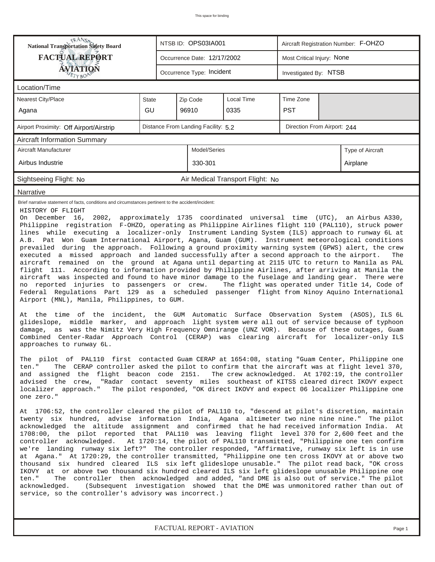| <b>NANSA</b><br>National Transportation Safety Board<br>NTSB ID: OPS03IA001<br>Aircraft Registration Number: F-OHZO                                                                                                                                                                                                                                                                                                                                                                                                                                                                                                                                                                                                                                                                                                                                                                                                                                                                                                                                                                                                                                                                                                                                                                                                                                                                                                                                                                                                                                                                                                                                                                                                                                                                                                                                                                                                                                                                                                                                                                                                                                                                                                                                                                                                                                                                                                                                                                                                                                                                                                                                                                                                                                                                                                                                                                                                                                                                                                                                                                                                                                                                                                                                                                                                                                                                                    |                                                    |  |                                     |                                  |                             |  |                   |  |  |
|--------------------------------------------------------------------------------------------------------------------------------------------------------------------------------------------------------------------------------------------------------------------------------------------------------------------------------------------------------------------------------------------------------------------------------------------------------------------------------------------------------------------------------------------------------------------------------------------------------------------------------------------------------------------------------------------------------------------------------------------------------------------------------------------------------------------------------------------------------------------------------------------------------------------------------------------------------------------------------------------------------------------------------------------------------------------------------------------------------------------------------------------------------------------------------------------------------------------------------------------------------------------------------------------------------------------------------------------------------------------------------------------------------------------------------------------------------------------------------------------------------------------------------------------------------------------------------------------------------------------------------------------------------------------------------------------------------------------------------------------------------------------------------------------------------------------------------------------------------------------------------------------------------------------------------------------------------------------------------------------------------------------------------------------------------------------------------------------------------------------------------------------------------------------------------------------------------------------------------------------------------------------------------------------------------------------------------------------------------------------------------------------------------------------------------------------------------------------------------------------------------------------------------------------------------------------------------------------------------------------------------------------------------------------------------------------------------------------------------------------------------------------------------------------------------------------------------------------------------------------------------------------------------------------------------------------------------------------------------------------------------------------------------------------------------------------------------------------------------------------------------------------------------------------------------------------------------------------------------------------------------------------------------------------------------------------------------------------------------------------------------------------------------|----------------------------------------------------|--|-------------------------------------|----------------------------------|-----------------------------|--|-------------------|--|--|
| <b>FACTUAL REPORT</b><br>Most Critical Injury: None<br>Occurrence Date: 12/17/2002                                                                                                                                                                                                                                                                                                                                                                                                                                                                                                                                                                                                                                                                                                                                                                                                                                                                                                                                                                                                                                                                                                                                                                                                                                                                                                                                                                                                                                                                                                                                                                                                                                                                                                                                                                                                                                                                                                                                                                                                                                                                                                                                                                                                                                                                                                                                                                                                                                                                                                                                                                                                                                                                                                                                                                                                                                                                                                                                                                                                                                                                                                                                                                                                                                                                                                                     |                                                    |  |                                     |                                  |                             |  |                   |  |  |
| <b>ÁVIATION</b><br>TYBOP                                                                                                                                                                                                                                                                                                                                                                                                                                                                                                                                                                                                                                                                                                                                                                                                                                                                                                                                                                                                                                                                                                                                                                                                                                                                                                                                                                                                                                                                                                                                                                                                                                                                                                                                                                                                                                                                                                                                                                                                                                                                                                                                                                                                                                                                                                                                                                                                                                                                                                                                                                                                                                                                                                                                                                                                                                                                                                                                                                                                                                                                                                                                                                                                                                                                                                                                                                               | Occurrence Type: Incident<br>Investigated By: NTSB |  |                                     |                                  |                             |  |                   |  |  |
| Location/Time                                                                                                                                                                                                                                                                                                                                                                                                                                                                                                                                                                                                                                                                                                                                                                                                                                                                                                                                                                                                                                                                                                                                                                                                                                                                                                                                                                                                                                                                                                                                                                                                                                                                                                                                                                                                                                                                                                                                                                                                                                                                                                                                                                                                                                                                                                                                                                                                                                                                                                                                                                                                                                                                                                                                                                                                                                                                                                                                                                                                                                                                                                                                                                                                                                                                                                                                                                                          |                                                    |  |                                     |                                  |                             |  |                   |  |  |
| Nearest City/Place                                                                                                                                                                                                                                                                                                                                                                                                                                                                                                                                                                                                                                                                                                                                                                                                                                                                                                                                                                                                                                                                                                                                                                                                                                                                                                                                                                                                                                                                                                                                                                                                                                                                                                                                                                                                                                                                                                                                                                                                                                                                                                                                                                                                                                                                                                                                                                                                                                                                                                                                                                                                                                                                                                                                                                                                                                                                                                                                                                                                                                                                                                                                                                                                                                                                                                                                                                                     | <b>State</b>                                       |  | Zip Code                            | Local Time                       | Time Zone                   |  |                   |  |  |
| Agana                                                                                                                                                                                                                                                                                                                                                                                                                                                                                                                                                                                                                                                                                                                                                                                                                                                                                                                                                                                                                                                                                                                                                                                                                                                                                                                                                                                                                                                                                                                                                                                                                                                                                                                                                                                                                                                                                                                                                                                                                                                                                                                                                                                                                                                                                                                                                                                                                                                                                                                                                                                                                                                                                                                                                                                                                                                                                                                                                                                                                                                                                                                                                                                                                                                                                                                                                                                                  | GU                                                 |  | 96910                               | 0335                             | <b>PST</b>                  |  |                   |  |  |
| Airport Proximity: Off Airport/Airstrip                                                                                                                                                                                                                                                                                                                                                                                                                                                                                                                                                                                                                                                                                                                                                                                                                                                                                                                                                                                                                                                                                                                                                                                                                                                                                                                                                                                                                                                                                                                                                                                                                                                                                                                                                                                                                                                                                                                                                                                                                                                                                                                                                                                                                                                                                                                                                                                                                                                                                                                                                                                                                                                                                                                                                                                                                                                                                                                                                                                                                                                                                                                                                                                                                                                                                                                                                                |                                                    |  | Distance From Landing Facility: 5.2 |                                  | Direction From Airport: 244 |  |                   |  |  |
| <b>Aircraft Information Summary</b>                                                                                                                                                                                                                                                                                                                                                                                                                                                                                                                                                                                                                                                                                                                                                                                                                                                                                                                                                                                                                                                                                                                                                                                                                                                                                                                                                                                                                                                                                                                                                                                                                                                                                                                                                                                                                                                                                                                                                                                                                                                                                                                                                                                                                                                                                                                                                                                                                                                                                                                                                                                                                                                                                                                                                                                                                                                                                                                                                                                                                                                                                                                                                                                                                                                                                                                                                                    |                                                    |  |                                     |                                  |                             |  |                   |  |  |
| Aircraft Manufacturer                                                                                                                                                                                                                                                                                                                                                                                                                                                                                                                                                                                                                                                                                                                                                                                                                                                                                                                                                                                                                                                                                                                                                                                                                                                                                                                                                                                                                                                                                                                                                                                                                                                                                                                                                                                                                                                                                                                                                                                                                                                                                                                                                                                                                                                                                                                                                                                                                                                                                                                                                                                                                                                                                                                                                                                                                                                                                                                                                                                                                                                                                                                                                                                                                                                                                                                                                                                  |                                                    |  | Model/Series                        |                                  |                             |  | Type of Aircraft  |  |  |
| Airbus Industrie                                                                                                                                                                                                                                                                                                                                                                                                                                                                                                                                                                                                                                                                                                                                                                                                                                                                                                                                                                                                                                                                                                                                                                                                                                                                                                                                                                                                                                                                                                                                                                                                                                                                                                                                                                                                                                                                                                                                                                                                                                                                                                                                                                                                                                                                                                                                                                                                                                                                                                                                                                                                                                                                                                                                                                                                                                                                                                                                                                                                                                                                                                                                                                                                                                                                                                                                                                                       |                                                    |  | 330-301                             |                                  |                             |  | Airplane          |  |  |
| Sightseeing Flight: No                                                                                                                                                                                                                                                                                                                                                                                                                                                                                                                                                                                                                                                                                                                                                                                                                                                                                                                                                                                                                                                                                                                                                                                                                                                                                                                                                                                                                                                                                                                                                                                                                                                                                                                                                                                                                                                                                                                                                                                                                                                                                                                                                                                                                                                                                                                                                                                                                                                                                                                                                                                                                                                                                                                                                                                                                                                                                                                                                                                                                                                                                                                                                                                                                                                                                                                                                                                 |                                                    |  |                                     | Air Medical Transport Flight: No |                             |  |                   |  |  |
| Narrative                                                                                                                                                                                                                                                                                                                                                                                                                                                                                                                                                                                                                                                                                                                                                                                                                                                                                                                                                                                                                                                                                                                                                                                                                                                                                                                                                                                                                                                                                                                                                                                                                                                                                                                                                                                                                                                                                                                                                                                                                                                                                                                                                                                                                                                                                                                                                                                                                                                                                                                                                                                                                                                                                                                                                                                                                                                                                                                                                                                                                                                                                                                                                                                                                                                                                                                                                                                              |                                                    |  |                                     |                                  |                             |  |                   |  |  |
| Brief narrative statement of facts, conditions and circumstances pertinent to the accident/incident:<br>HISTORY OF FLIGHT<br>On December 16, 2002, approximately 1735 coordinated universal time (UTC), an Airbus A330,<br>Philippine registration F-OHZO, operating as Philippine Airlines flight 110 (PAL110), struck power<br>lines while executing a localizer-only Instrument Landing System (ILS) approach to runway 6L at<br>A.B. Pat Won Guam International Airport, Agana, Guam (GUM). Instrument meteorological conditions<br>prevailed during the approach. Following a ground proximity warning system (GPWS) alert, the crew<br>executed a missed approach and landed successfully after a second approach to the airport.<br>aircraft remained on the ground at Agana until departing at 2115 UTC to return to Manila as PAL<br>flight 111. According to information provided by Philippine Airlines, after arriving at Manila the<br>aircraft was inspected and found to have minor damage to the fuselage and landing gear.<br>no reported injuries to passengers or crew.<br>The flight was operated under Title 14, Code of<br>Federal Regulations Part 129 as a scheduled passenger flight from Ninoy Aquino International<br>Airport (MNL), Manila, Philippines, to GUM.<br>At the time of the incident,<br>the GUM Automatic Surface Observation System (ASOS), ILS 6L<br>glideslope, middle marker, and approach light system were all out of service because of typhoon<br>damage, as was the Nimitz Very High Frequency Omnirange (UNZ VOR). Because of these outages, Guam<br>Combined Center-Radar Approach Control (CERAP) was clearing aircraft for localizer-only ILS<br>approaches to runway 6L.<br>The pilot of PAL110 first contacted Guam CERAP at 1654:08, stating "Guam Center, Philippine one<br>The CERAP controller asked the pilot to confirm that the aircraft was at flight level 370,<br>ten."<br>and assigned the flight beacon code 2151. The crew acknowledged. At 1702:19, the controller<br>advised the crew, "Radar contact seventy miles southeast of KITSS cleared direct IKOVY expect<br>The pilot responded, "OK direct IKOVY and expect 06 localizer Philippine one<br>localizer approach."<br>one zero."<br>At 1706:52, the controller cleared the pilot of PAL110 to, "descend at pilot's discretion, maintain<br>twenty six hundred, advise information India, Agana altimeter two nine nine nine." The pilot<br>acknowledged the altitude assignment and confirmed that he had received information India. At<br>1708:00, the pilot reported that PAL110 was leaving flight level 370 for 2,600 feet and the<br>controller acknowledged. At 1720:14, the pilot of PAL110 transmitted, "Philippine one ten confirm<br>we're landing runway six left?" The controller responded, "Affirmative, runway six left is in use<br>at Agana." At 1720:29, the controller transmitted, "Philippine one ten cross IKOVY at or above two<br>thousand six hundred cleared ILS six left glideslope unusable." The pilot read back, "OK cross<br>IKOVY at or above two thousand six hundred cleared ILS six left glideslope unusable Philippine one<br>The controller then acknowledged and added, "and DME is also out of service." The pilot<br>ten."<br>(Subsequent investigation showed that the DME was unmonitored rather than out of<br>acknowledged. |                                                    |  |                                     |                                  |                             |  | The<br>There were |  |  |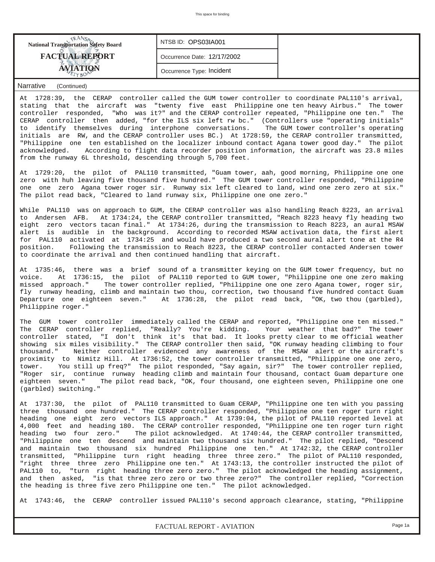| <b>National Transportation Safety Board</b> | NTSB ID: OPS03IA001         |  |
|---------------------------------------------|-----------------------------|--|
| <b>FACTUAL REPORT</b>                       | Occurrence Date: 12/17/2002 |  |
|                                             | Occurrence Type: Incident   |  |

At 1728:39, the CERAP controller called the GUM tower controller to coordinate PAL110's arrival, stating that the aircraft was "twenty five east Philippine one ten heavy Airbus." The tower controller responded, "Who was it?" and the CERAP controller repeated, "Philippine one ten." The CERAP controller then added, "for the ILS six left rw bc." (Controllers use "operating initials" to identify themselves during interphone conversations. The GUM tower controller's operating initials are RW, and the CERAP controller uses BC.) At 1728:59, the CERAP controller transmitted, "Philippine one ten established on the localizer inbound contact Agana tower good day." The pilot acknowledged. According to flight data recorder position information, the aircraft was 23.8 miles from the runway 6L threshold, descending through 5,700 feet.

At 1729:20, the pilot of PAL110 transmitted, "Guam tower, aah, good morning, Philippine one one zero with huh leaving five thousand five hundred." The GUM tower controller responded, "Philippine one one zero Agana tower roger sir. Runway six left cleared to land, wind one zero zero at six." The pilot read back, "Cleared to land runway six, Philippine one one zero."

While PAL110 was on approach to GUM, the CERAP controller was also handling Reach 8223, an arrival to Andersen AFB. At 1734:24, the CERAP controller transmitted, "Reach 8223 heavy fly heading two eight zero vectors tacan final." At 1734:26, during the transmission to Reach 8223, an aural MSAW alert is audible in the background. According to recorded MSAW activation data, the first alert for PAL110 activated at 1734:25 and would have produced a two second aural alert tone at the R4 position. Following the transmission to Reach 8223, the CERAP controller contacted Andersen tower to coordinate the arrival and then continued handling that aircraft.

At 1735:46, there was a brief sound of a transmitter keying on the GUM tower frequency, but no voice. At 1736:15, the pilot of PAL110 reported to GUM tower, "Philippine one one zero making missed approach." The tower controller replied, "Philippine one one zero Agana tower, roger sir, fly runway heading, climb and maintain two thou, correction, two thousand five hundred contact Guam Departure one eighteen seven." At 1736:28, the pilot read back, "OK, two thou (garbled), Philippine roger."

The GUM tower controller immediately called the CERAP and reported, "Philippine one ten missed." The CERAP controller replied, "Really? You're kidding. Your weather that bad?" The tower controller stated, "I don't think it's that bad. It looks pretty clear to me official weather showing six miles visibility." The CERAP controller then said, "OK runway heading climbing to four thousand." Neither controller evidenced any awareness of the MSAW alert or the aircraft's proximity to Nimitz Hill. At 1736:52, the tower controller transmitted, "Philippine one one zero, tower. You still up freq?" The pilot responded, "Say again, sir?" The tower controller replied, "Roger sir, continue runway heading climb and maintain four thousand, contact Guam departure one eighteen seven." The pilot read back, "OK, four thousand, one eighteen seven, Philippine one one (garbled) switching."

At 1737:30, the pilot of PAL110 transmitted to Guam CERAP, "Philippine one ten with you passing three thousand one hundred." The CERAP controller responded, "Philippine one ten roger turn right heading one eight zero vectors ILS approach." At 1739:04, the pilot of PAL110 reported level at 4,000 feet and heading 180. The CERAP controller responded, "Philippine one ten roger turn right heading two four zero." The pilot acknowledged. At 1740:44, the CERAP controller transmitted, "Philippine one ten descend and maintain two thousand six hundred." The pilot replied, "Descend and maintain two thousand six hundred Philippine one ten." At 1742:32, the CERAP controller transmitted, "Philippine turn right heading three three zero." The pilot of PAL110 responded, "right three three zero Philippine one ten." At 1743:13, the controller instructed the pilot of PAL110 to, "turn right heading three zero zero." The pilot acknowledged the heading assignment, and then asked, "is that three zero zero or two three zero?" The controller replied, "Correction the heading is three five zero Philippine one ten." The pilot acknowledged.

At 1743:46, the CERAP controller issued PAL110's second approach clearance, stating, "Philippine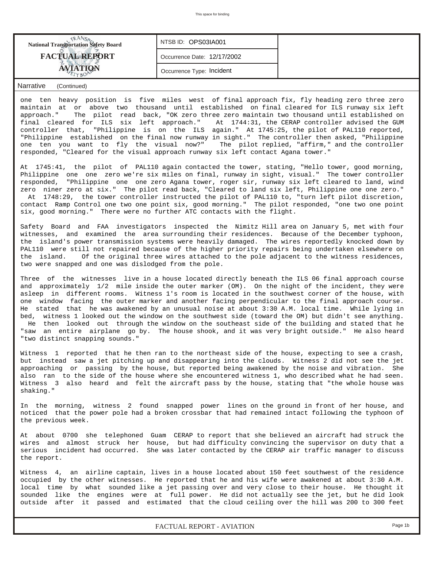| <b>National Transportation Safety Board</b> | NTSB ID: OPS03IA001         |  |
|---------------------------------------------|-----------------------------|--|
| <b>FACTUAL REPORT</b>                       | Occurrence Date: 12/17/2002 |  |
|                                             | Occurrence Type: Incident   |  |

one ten heavy position is five miles west of final approach fix, fly heading zero three zero maintain at or above two thousand until established on final cleared for ILS runway six left approach." The pilot read back, "OK zero three zero maintain two thousand until established on final cleared for ILS six left approach." At 1744:31, the CERAP controller advised the GUM controller that, "Philippine is on the ILS again." At 1745:25, the pilot of PAL110 reported, "Philippine established on the final now runway in sight." The controller then asked, "Philippine one ten you want to fly the visual now?" The pilot replied, "affirm," and the controller responded, "Cleared for the visual approach runway six left contact Agana tower."

At 1745:41, the pilot of PAL110 again contacted the tower, stating, "Hello tower, good morning, Philippine one one zero we're six miles on final, runway in sight, visual." The tower controller responded, "Philippine one one zero Agana tower, roger sir, runway six left cleared to land, wind zero niner zero at six." The pilot read back, "Cleared to land six left, Philippine one one zero." At 1748:29, the tower controller instructed the pilot of PAL110 to, "turn left pilot discretion, contact Ramp Control one two one point six, good morning." The pilot responded, "one two one point six, good morning." There were no further ATC contacts with the flight.

Safety Board and FAA investigators inspected the Nimitz Hill area on January 5, met with four witnesses, and examined the area surrounding their residences. Because of the December typhoon, the island's power transmission systems were heavily damaged. The wires reportedly knocked down by PAL110 were still not repaired because of the higher priority repairs being undertaken elsewhere on the island. Of the original three wires attached to the pole adjacent to the witness residences, two were snapped and one was dislodged from the pole.

Three of the witnesses live in a house located directly beneath the ILS 06 final approach course and approximately 1/2 mile inside the outer marker (OM). On the night of the incident, they were asleep in different rooms. Witness 1's room is located in the southwest corner of the house, with one window facing the outer marker and another facing perpendicular to the final approach course. He stated that he was awakened by an unusual noise at about 3:30 A.M. local time. While lying in bed, witness 1 looked out the window on the southwest side (toward the OM) but didn't see anything. He then looked out through the window on the southeast side of the building and stated that he "saw an entire airplane go by. The house shook, and it was very bright outside." He also heard "two distinct snapping sounds."

Witness 1 reported that he then ran to the northeast side of the house, expecting to see a crash, but instead saw a jet pitching up and disappearing into the clouds. Witness 2 did not see the jet approaching or passing by the house, but reported being awakened by the noise and vibration. She also ran to the side of the house where she encountered witness 1, who described what he had seen. Witness 3 also heard and felt the aircraft pass by the house, stating that "the whole house was shaking."

In the morning, witness 2 found snapped power lines on the ground in front of her house, and noticed that the power pole had a broken crossbar that had remained intact following the typhoon of the previous week.

At about 0700 she telephoned Guam CERAP to report that she believed an aircraft had struck the wires and almost struck her house, but had difficulty convincing the supervisor on duty that a serious incident had occurred. She was later contacted by the CERAP air traffic manager to discuss the report.

Witness 4, an airline captain, lives in a house located about 150 feet southwest of the residence occupied by the other witnesses. He reported that he and his wife were awakened at about 3:30 A.M. local time by what sounded like a jet passing over and very close to their house. He thought it sounded like the engines were at full power. He did not actually see the jet, but he did look outside after it passed and estimated that the cloud ceiling over the hill was 200 to 300 feet

*FACTUAL REPORT - AVIATION Page 1b*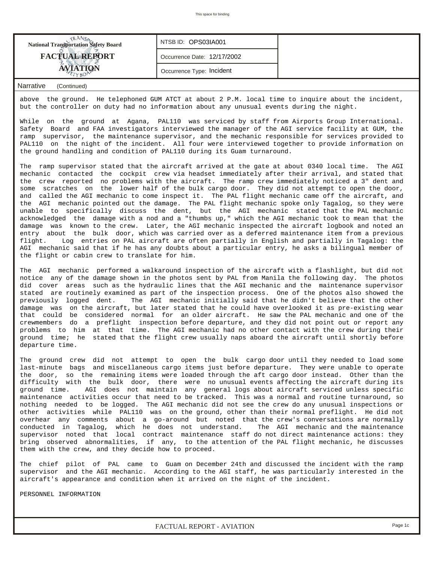| <b>National Transportation Safety Board</b> | NTSB ID: OPS03IA001         |  |
|---------------------------------------------|-----------------------------|--|
| <b>FACTUAL REPORT</b>                       | Occurrence Date: 12/17/2002 |  |
|                                             | Occurrence Type: Incident   |  |

above the ground. He telephoned GUM ATCT at about 2 P.M. local time to inquire about the incident, but the controller on duty had no information about any unusual events during the night.

While on the ground at Agana, PAL110 was serviced by staff from Airports Group International. Safety Board and FAA investigators interviewed the manager of the AGI service facility at GUM, the ramp supervisor, the maintenance supervisor, and the mechanic responsible for services provided to PAL110 on the night of the incident. All four were interviewed together to provide information on the ground handling and condition of PAL110 during its Guam turnaround.

The ramp supervisor stated that the aircraft arrived at the gate at about 0340 local time. The AGI mechanic contacted the cockpit crew via headset immediately after their arrival, and stated that the crew reported no problems with the aircraft. The ramp crew immediately noticed a 3" dent and some scratches on the lower half of the bulk cargo door. They did not attempt to open the door, and called the AGI mechanic to come inspect it. The PAL flight mechanic came off the aircraft, and the AGI mechanic pointed out the damage. The PAL flight mechanic spoke only Tagalog, so they were unable to specifically discuss the dent, but the AGI mechanic stated that the PAL mechanic acknowledged the damage with a nod and a "thumbs up," which the AGI mechanic took to mean that the damage was known to the crew. Later, the AGI mechanic inspected the aircraft logbook and noted an entry about the bulk door, which was carried over as a deferred maintenance item from a previous flight. Log entries on PAL aircraft are often partially in English and partially in Tagalog: the AGI mechanic said that if he has any doubts about a particular entry, he asks a bilingual member of the flight or cabin crew to translate for him.

The AGI mechanic performed a walkaround inspection of the aircraft with a flashlight, but did not notice any of the damage shown in the photos sent by PAL from Manila the following day. The photos did cover areas such as the hydraulic lines that the AGI mechanic and the maintenance supervisor stated are routinely examined as part of the inspection process. One of the photos also showed the previously logged dent. The AGI mechanic initially said that he didn't believe that the other damage was on the aircraft, but later stated that he could have overlooked it as pre-existing wear that could be considered normal for an older aircraft. He saw the PAL mechanic and one of the crewmembers do a preflight inspection before departure, and they did not point out or report any problems to him at that time. The AGI mechanic had no other contact with the crew during their ground time; he stated that the flight crew usually naps aboard the aircraft until shortly before departure time.

The ground crew did not attempt to open the bulk cargo door until they needed to load some last-minute bags and miscellaneous cargo items just before departure. They were unable to operate the door, so the remaining items were loaded through the aft cargo door instead. Other than the difficulty with the bulk door, there were no unusual events affecting the aircraft during its ground time. AGI does not maintain any general logs about aircraft serviced unless specific maintenance activities occur that need to be tracked. This was a normal and routine turnaround, so nothing needed to be logged. The AGI mechanic did not see the crew do any unusual inspections or other activities while PAL110 was on the ground, other than their normal preflight. He did not overhear any comments about a go-around but noted that the crew's conversations are normally conducted in Tagalog, which he does not understand. The AGI mechanic and the maintenance supervisor noted that local contract maintenance staff do not direct maintenance actions: they bring observed abnormalities, if any, to the attention of the PAL flight mechanic, he discusses them with the crew, and they decide how to proceed.

The chief pilot of PAL came to Guam on December 24th and discussed the incident with the ramp supervisor and the AGI mechanic. According to the AGI staff, he was particularly interested in the aircraft's appearance and condition when it arrived on the night of the incident.

PERSONNEL INFORMATION

*FACTUAL REPORT - AVIATION Page 1c*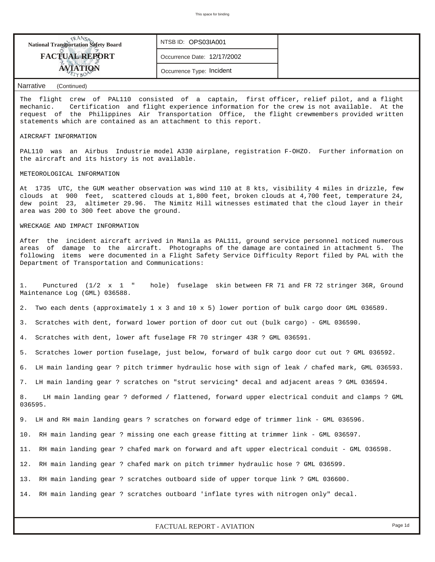| <b>National Transportation Safety Board</b> | NTSB ID: OPS03IA001         |  |
|---------------------------------------------|-----------------------------|--|
| <b>FACTUAL REPORT</b>                       | Occurrence Date: 12/17/2002 |  |
| <sup>TETYBON</sup>                          | Occurrence Type: Incident   |  |

The flight crew of PAL110 consisted of a captain, first officer, relief pilot, and a flight mechanic. Certification and flight experience information for the crew is not available. At the request of the Philippines Air Transportation Office, the flight crewmembers provided written statements which are contained as an attachment to this report.

#### AIRCRAFT INFORMATION

PAL110 was an Airbus Industrie model A330 airplane, registration F-OHZO. Further information on the aircraft and its history is not available.

#### METEOROLOGICAL INFORMATION

At 1735 UTC, the GUM weather observation was wind 110 at 8 kts, visibility 4 miles in drizzle, few clouds at 900 feet, scattered clouds at 1,800 feet, broken clouds at 4,700 feet, temperature 24, dew point 23, altimeter 29.96. The Nimitz Hill witnesses estimated that the cloud layer in their area was 200 to 300 feet above the ground.

#### WRECKAGE AND IMPACT INFORMATION

After the incident aircraft arrived in Manila as PAL111, ground service personnel noticed numerous areas of damage to the aircraft. Photographs of the damage are contained in attachment 5. The following items were documented in a Flight Safety Service Difficulty Report filed by PAL with the Department of Transportation and Communications:

1. Punctured (1/2 x 1 " hole) fuselage skin between FR 71 and FR 72 stringer 36R, Ground Maintenance Log (GML) 036588.

2. Two each dents (approximately 1 x 3 and 10 x 5) lower portion of bulk cargo door GML 036589.

3. Scratches with dent, forward lower portion of door cut out (bulk cargo) - GML 036590.

4. Scratches with dent, lower aft fuselage FR 70 stringer 43R ? GML 036591.

5. Scratches lower portion fuselage, just below, forward of bulk cargo door cut out ? GML 036592.

6. LH main landing gear ? pitch trimmer hydraulic hose with sign of leak / chafed mark, GML 036593.

7. LH main landing gear ? scratches on "strut servicing\* decal and adjacent areas ? GML 036594.

8. LH main landing gear ? deformed / flattened, forward upper electrical conduit and clamps ? GML 036595.

9. LH and RH main landing gears ? scratches on forward edge of trimmer link - GML 036596.

10. RH main landing gear ? missing one each grease fitting at trimmer link - GML 036597.

11. RH main landing gear ? chafed mark on forward and aft upper electrical conduit - GML 036598.

12. RH main landing gear ? chafed mark on pitch trimmer hydraulic hose ? GML 036599.

13. RH main landing gear ? scratches outboard side of upper torque link ? GML 036600.

14. RH main landing gear ? scratches outboard 'inflate tyres with nitrogen only" decal.

# *FACTUAL REPORT - AVIATION Page 1d*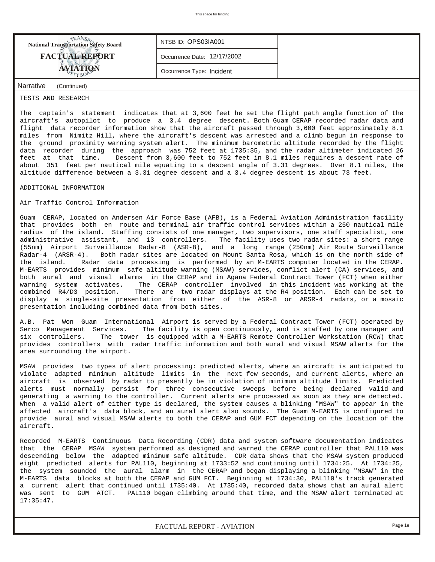| <b>National Transportation Safety Board</b> | NTSB ID: OPS03IA001         |  |
|---------------------------------------------|-----------------------------|--|
| <b>FACTUAL REPORT</b>                       | Occurrence Date: 12/17/2002 |  |
| <b>AVIATION</b>                             | Occurrence Type: Incident   |  |
| Narrative<br>(Continued)                    |                             |  |

### TESTS AND RESEARCH

The captain's statement indicates that at 3,600 feet he set the flight path angle function of the aircraft's autopilot to produce a 3.4 degree descent. Both Guam CERAP recorded radar data and flight data recorder information show that the aircraft passed through 3,600 feet approximately 8.1 miles from Nimitz Hill, where the aircraft's descent was arrested and a climb begun in response to the ground proximity warning system alert. The minimum barometric altitude recorded by the flight data recorder during the approach was 752 feet at 1735:35, and the radar altimeter indicated 26<br>feet at that time. Descent from 3,600 feet to 752 feet in 8.1 miles requires a descent rate of Descent from 3,600 feet to 752 feet in 8.1 miles requires a descent rate of about 351 feet per nautical mile equating to a descent angle of 3.31 degrees. Over 8.1 miles, the altitude difference between a 3.31 degree descent and a 3.4 degree descent is about 73 feet.

### ADDITIONAL INFORMATION

# Air Traffic Control Information

Guam CERAP, located on Andersen Air Force Base (AFB), is a Federal Aviation Administration facility that provides both en route and terminal air traffic control services within a 250 nautical mile radius of the island. Staffing consists of one manager, two supervisors, one staff specialist, one administrative assistant, and 13 controllers. The facility uses two radar sites: a short range (55nm) Airport Surveillance Radar-8 (ASR-8), and a long range (250nm) Air Route Surveillance Radar-4 (ARSR-4). Both radar sites are located on Mount Santa Rosa, which is on the north side of the island. Radar data processing is performed by an M-EARTS computer located in the CERAP. M-EARTS provides minimum safe altitude warning (MSAW) services, conflict alert (CA) services, and both aural and visual alarms in the CERAP and in Agana Federal Contract Tower (FCT) when either warning system activates. The CERAP controller involved in this incident was working at the combined R4/D3 position. There are two radar displays at the R4 position. Each can be set to display a single-site presentation from either of the ASR-8 or ARSR-4 radars, or a mosaic presentation including combined data from both sites.

A.B. Pat Won Guam International Airport is served by a Federal Contract Tower (FCT) operated by Serco Management Services. The facility is open continuously, and is staffed by one manager and six controllers. The tower is equipped with a M-EARTS Remote Controller Workstation (RCW) that provides controllers with radar traffic information and both aural and visual MSAW alerts for the area surrounding the airport.

MSAW provides two types of alert processing: predicted alerts, where an aircraft is anticipated to violate adapted minimum altitude limits in the next few seconds, and current alerts, where an aircraft is observed by radar to presently be in violation of minimum altitude limits. Predicted alerts must normally persist for three consecutive sweeps before being declared valid and generating a warning to the controller. Current alerts are processed as soon as they are detected. When a valid alert of either type is declared, the system causes a blinking "MSAW" to appear in the affected aircraft's data block, and an aural alert also sounds. The Guam M-EARTS is configured to provide aural and visual MSAW alerts to both the CERAP and GUM FCT depending on the location of the aircraft.

Recorded M-EARTS Continuous Data Recording (CDR) data and system software documentation indicates that the CERAP MSAW system performed as designed and warned the CERAP controller that PAL110 was descending below the adapted minimum safe altitude. CDR data shows that the MSAW system produced eight predicted alerts for PAL110, beginning at 1733:52 and continuing until 1734:25. At 1734:25, the system sounded the aural alarm in the CERAP and began displaying a blinking "MSAW" in the M-EARTS data blocks at both the CERAP and GUM FCT. Beginning at 1734:30, PAL110's track generated a current alert that continued until 1735:40. At 1735:40, recorded data shows that an aural alert was sent to GUM ATCT. PAL110 began climbing around that time, and the MSAW alert terminated at 17:35:47.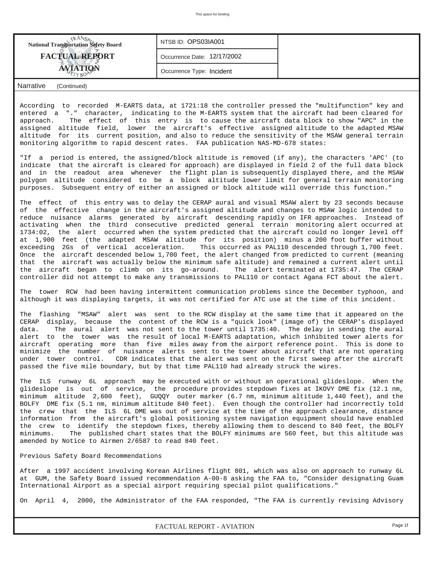| <b>National Transportation Safety Board</b>         | NTSB ID: OPS03IA001         |  |
|-----------------------------------------------------|-----------------------------|--|
| <b>FACTUAL REPORT</b>                               | Occurrence Date: 12/17/2002 |  |
|                                                     | Occurrence Type: Incident   |  |
| $\sim$<br>$\sim$ $\sim$ $\sim$ $\sim$ $\sim$ $\sim$ |                             |  |

According to recorded M-EARTS data, at 1721:18 the controller pressed the "multifunction" key and entered a "." character, indicating to the M-EARTS system that the aircraft had been cleared for approach. The effect of this entry is to cause the aircraft data block to show "APC" in the assigned altitude field, lower the aircraft's effective assigned altitude to the adapted MSAW altitude for its current position, and also to reduce the sensitivity of the MSAW general terrain monitoring algorithm to rapid descent rates. FAA publication NAS-MD-678 states:

"If a period is entered, the assigned/block altitude is removed (if any), the characters 'APC' (to indicate that the aircraft is cleared for approach) are displayed in field 2 of the full data block and in the readout area whenever the flight plan is subsequently displayed there, and the MSAW polygon altitude considered to be a block altitude lower limit for general terrain monitoring purposes. Subsequent entry of either an assigned or block altitude will override this function."

The effect of this entry was to delay the CERAP aural and visual MSAW alert by 23 seconds because of the effective change in the aircraft's assigned altitude and changes to MSAW logic intended to reduce nuisance alarms generated by aircraft descending rapidly on IFR approaches. Instead of activating when the third consecutive predicted general terrain monitoring alert occurred at 1734:02, the alert occurred when the system predicted that the aircraft could no longer level off at 1,900 feet (the adapted MSAW altitude for its position) minus a 200 foot buffer without exceeding 2Gs of vertical acceleration. This occurred as PAL110 descended through 1,700 feet. Once the aircraft descended below 1,700 feet, the alert changed from predicted to current (meaning that the aircraft was actually below the minimum safe altitude) and remained a current alert until the aircraft began to climb on its go-around. The alert terminated at 1735:47. The CERAP controller did not attempt to make any transmissions to PAL110 or contact Agana FCT about the alert.

The tower RCW had been having intermittent communication problems since the December typhoon, and although it was displaying targets, it was not certified for ATC use at the time of this incident.

The flashing "MSAW" alert was sent to the RCW display at the same time that it appeared on the CERAP display, because the content of the RCW is a "quick look" (image of) the CERAP's displayed data. The aural alert was not sent to the tower until 1735:40. The delay in sending the aural alert to the tower was the result of local M-EARTS adaptation, which inhibited tower alerts for aircraft operating more than five miles away from the airport reference point. This is done to minimize the number of nuisance alerts sent to the tower about aircraft that are not operating under tower control. CDR indicates that the alert was sent on the first sweep after the aircraft passed the five mile boundary, but by that time PAL110 had already struck the wires.

The ILS runway 6L approach may be executed with or without an operational glideslope. When the glideslope is out of service, the procedure provides stepdown fixes at IKOVY DME fix (12.1 nm, minimum altitude 2,600 feet), GUQQY outer marker (6.7 nm, minimum altitude 1,440 feet), and the BOLFY DME fix (5.1 nm, minimum altitude 840 feet). Even though the controller had incorrectly told the crew that the ILS 6L DME was out of service at the time of the approach clearance, distance information from the aircraft's global positioning system navigation equipment should have enabled the crew to identify the stepdown fixes, thereby allowing them to descend to 840 feet, the BOLFY minimums. The published chart states that the BOLFY minimums are 560 feet, but this altitude was amended by Notice to Airmen 2/6587 to read 840 feet.

### Previous Safety Board Recommendations

After a 1997 accident involving Korean Airlines flight 801, which was also on approach to runway 6L at GUM, the Safety Board issued recommendation A-00-8 asking the FAA to, "Consider designating Guam International Airport as a special airport requiring special pilot qualifications."

On April 4, 2000, the Administrator of the FAA responded, "The FAA is currently revising Advisory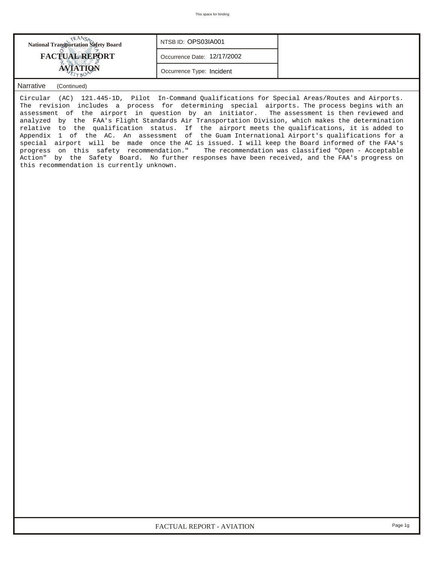| NTSB ID: OPS03IA001<br><b>National Transportation Safety Board</b> |
|--------------------------------------------------------------------|
| <b>FACTUAL REPORT</b><br>Occurrence Date: 12/17/2002               |
| <b>AVIATION</b><br>Occurrence Type: Incident                       |

Circular (AC) 121.445-1D, Pilot In-Command Qualifications for Special Areas/Routes and Airports. The revision includes a process for determining special airports. The process begins with an assessment of the airport in question by an initiator. The assessment is then reviewed and analyzed by the FAA's Flight Standards Air Transportation Division, which makes the determination relative to the qualification status. If the airport meets the qualifications, it is added to Appendix 1 of the AC. An assessment of the Guam International Airport's qualifications for a special airport will be made once the AC is issued. I will keep the Board informed of the FAA's progress on this safety recommendation." The recommendation was classified "Open - Acceptable Action" by the Safety Board. No further responses have been received, and the FAA's progress on this recommendation is currently unknown.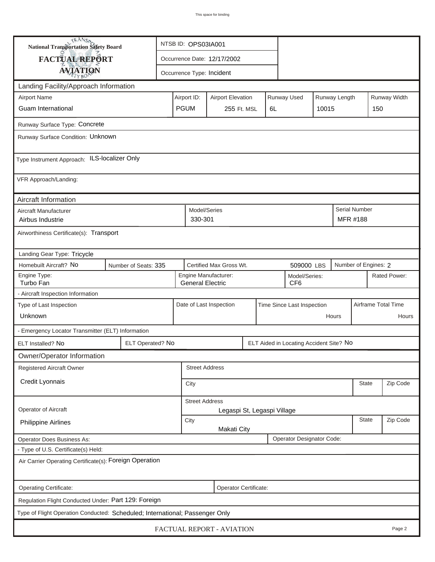| <b>National Transportation Safety Board</b><br>NTSB ID: OPS03IA001           |                      |                                                      |                                                                                     |                           |  |  |                                         |          |                     |                           |              |
|------------------------------------------------------------------------------|----------------------|------------------------------------------------------|-------------------------------------------------------------------------------------|---------------------------|--|--|-----------------------------------------|----------|---------------------|---------------------------|--------------|
| FACTUAL REPORT                                                               |                      | Occurrence Date: 12/17/2002                          |                                                                                     |                           |  |  |                                         |          |                     |                           |              |
| <b>AVIATION</b>                                                              |                      | Occurrence Type: Incident                            |                                                                                     |                           |  |  |                                         |          |                     |                           |              |
| Landing Facility/Approach Information                                        |                      |                                                      |                                                                                     |                           |  |  |                                         |          |                     |                           |              |
| <b>Airport Name</b>                                                          |                      |                                                      | Airport ID:                                                                         | <b>Airport Elevation</b>  |  |  | Runway Used                             |          | Runway Length       |                           | Runway Width |
| <b>Guam International</b>                                                    |                      |                                                      | <b>PGUM</b><br>255 Ft. MSL<br>10015<br>6L                                           |                           |  |  |                                         |          | 150                 |                           |              |
| Runway Surface Type: Concrete                                                |                      |                                                      |                                                                                     |                           |  |  |                                         |          |                     |                           |              |
| Runway Surface Condition: Unknown                                            |                      |                                                      |                                                                                     |                           |  |  |                                         |          |                     |                           |              |
| Type Instrument Approach: ILS-localizer Only                                 |                      |                                                      |                                                                                     |                           |  |  |                                         |          |                     |                           |              |
| VFR Approach/Landing:                                                        |                      |                                                      |                                                                                     |                           |  |  |                                         |          |                     |                           |              |
| Aircraft Information                                                         |                      |                                                      |                                                                                     |                           |  |  |                                         |          |                     |                           |              |
| Aircraft Manufacturer<br>Airbus Industrie                                    |                      |                                                      | Model/Series<br>330-301                                                             |                           |  |  |                                         |          |                     | Serial Number<br>MFR #188 |              |
| Airworthiness Certificate(s): Transport                                      |                      |                                                      |                                                                                     |                           |  |  |                                         |          |                     |                           |              |
| Landing Gear Type: Tricycle                                                  |                      |                                                      |                                                                                     |                           |  |  |                                         |          |                     |                           |              |
| Homebuilt Aircraft? No                                                       | Number of Seats: 335 |                                                      |                                                                                     | Certified Max Gross Wt.   |  |  | 509000 LBS                              |          |                     | Number of Engines: 2      |              |
| Engine Type:<br>Turbo Fan                                                    |                      |                                                      | Engine Manufacturer:<br>Model/Series:<br>CF <sub>6</sub><br><b>General Electric</b> |                           |  |  |                                         |          |                     | Rated Power:              |              |
| - Aircraft Inspection Information                                            |                      |                                                      |                                                                                     |                           |  |  |                                         |          |                     |                           |              |
| Type of Last Inspection                                                      |                      |                                                      | Date of Last Inspection<br>Time Since Last Inspection                               |                           |  |  |                                         |          | Airframe Total Time |                           |              |
| Unknown                                                                      |                      |                                                      | Hours                                                                               |                           |  |  |                                         |          | Hours               |                           |              |
| - Emergency Locator Transmitter (ELT) Information                            |                      |                                                      |                                                                                     |                           |  |  |                                         |          |                     |                           |              |
| ELT Installed? No                                                            | ELT Operated? No     |                                                      |                                                                                     |                           |  |  | ELT Aided in Locating Accident Site? No |          |                     |                           |              |
| Owner/Operator Information                                                   |                      |                                                      |                                                                                     |                           |  |  |                                         |          |                     |                           |              |
| <b>Registered Aircraft Owner</b>                                             |                      |                                                      | <b>Street Address</b>                                                               |                           |  |  |                                         |          |                     |                           |              |
| Credit Lyonnais                                                              |                      |                                                      | City                                                                                |                           |  |  |                                         |          |                     | <b>State</b>              | Zip Code     |
| Operator of Aircraft                                                         |                      | <b>Street Address</b><br>Legaspi St, Legaspi Village |                                                                                     |                           |  |  |                                         |          |                     |                           |              |
| <b>Philippine Airlines</b>                                                   |                      | State<br>City<br><b>Makati City</b>                  |                                                                                     |                           |  |  |                                         | Zip Code |                     |                           |              |
| <b>Operator Does Business As:</b>                                            |                      |                                                      |                                                                                     |                           |  |  | Operator Designator Code:               |          |                     |                           |              |
| - Type of U.S. Certificate(s) Held:                                          |                      |                                                      |                                                                                     |                           |  |  |                                         |          |                     |                           |              |
| Air Carrier Operating Certificate(s): Foreign Operation                      |                      |                                                      |                                                                                     |                           |  |  |                                         |          |                     |                           |              |
| Operating Certificate:                                                       |                      |                                                      |                                                                                     | Operator Certificate:     |  |  |                                         |          |                     |                           |              |
| Regulation Flight Conducted Under: Part 129: Foreign                         |                      |                                                      |                                                                                     |                           |  |  |                                         |          |                     |                           |              |
| Type of Flight Operation Conducted: Scheduled; International; Passenger Only |                      |                                                      |                                                                                     |                           |  |  |                                         |          |                     |                           |              |
|                                                                              |                      |                                                      |                                                                                     | FACTUAL REPORT - AVIATION |  |  |                                         |          |                     |                           | Page 2       |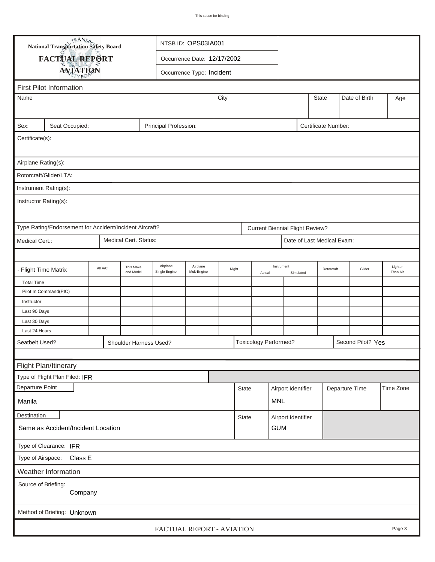|                                                                                 | <b>National Transportation Safety Board</b><br>NTSB ID: OPS03IA001 |                                              |                        |                             |  |                         |      |              |        |                                        |           |              |                            |                   |        |                     |
|---------------------------------------------------------------------------------|--------------------------------------------------------------------|----------------------------------------------|------------------------|-----------------------------|--|-------------------------|------|--------------|--------|----------------------------------------|-----------|--------------|----------------------------|-------------------|--------|---------------------|
|                                                                                 | FACTUAL REPORT                                                     |                                              |                        | Occurrence Date: 12/17/2002 |  |                         |      |              |        |                                        |           |              |                            |                   |        |                     |
|                                                                                 |                                                                    |                                              |                        |                             |  |                         |      |              |        |                                        |           |              |                            |                   |        |                     |
| <b>AVIATION</b><br>Occurrence Type: Incident                                    |                                                                    |                                              |                        |                             |  |                         |      |              |        |                                        |           |              |                            |                   |        |                     |
|                                                                                 | <b>First Pilot Information</b>                                     |                                              |                        |                             |  |                         |      |              |        |                                        |           |              |                            |                   |        |                     |
| Name                                                                            |                                                                    |                                              |                        |                             |  |                         | City |              |        |                                        |           | <b>State</b> |                            | Date of Birth     |        | Age                 |
|                                                                                 |                                                                    |                                              |                        |                             |  |                         |      |              |        |                                        |           |              |                            |                   |        |                     |
| Sex:                                                                            | Seat Occupied:                                                     | Principal Profession:<br>Certificate Number: |                        |                             |  |                         |      |              |        |                                        |           |              |                            |                   |        |                     |
| Certificate(s):                                                                 |                                                                    |                                              |                        |                             |  |                         |      |              |        |                                        |           |              |                            |                   |        |                     |
|                                                                                 |                                                                    |                                              |                        |                             |  |                         |      |              |        |                                        |           |              |                            |                   |        |                     |
| Airplane Rating(s):                                                             |                                                                    |                                              |                        |                             |  |                         |      |              |        |                                        |           |              |                            |                   |        |                     |
| Rotorcraft/Glider/LTA:                                                          |                                                                    |                                              |                        |                             |  |                         |      |              |        |                                        |           |              |                            |                   |        |                     |
| Instrument Rating(s):                                                           |                                                                    |                                              |                        |                             |  |                         |      |              |        |                                        |           |              |                            |                   |        |                     |
| Instructor Rating(s):                                                           |                                                                    |                                              |                        |                             |  |                         |      |              |        |                                        |           |              |                            |                   |        |                     |
|                                                                                 |                                                                    |                                              |                        |                             |  |                         |      |              |        |                                        |           |              |                            |                   |        |                     |
|                                                                                 |                                                                    |                                              |                        |                             |  |                         |      |              |        |                                        |           |              |                            |                   |        |                     |
|                                                                                 | Type Rating/Endorsement for Accident/Incident Aircraft?            |                                              |                        |                             |  |                         |      |              |        | <b>Current Biennial Flight Review?</b> |           |              |                            |                   |        |                     |
| Medical Cert.:                                                                  |                                                                    |                                              | Medical Cert. Status:  |                             |  |                         |      |              |        |                                        |           |              | Date of Last Medical Exam: |                   |        |                     |
|                                                                                 |                                                                    |                                              |                        |                             |  |                         |      |              |        |                                        |           |              |                            |                   |        |                     |
| <b>Flight Time Matrix</b>                                                       |                                                                    | All A/C                                      | This Make<br>and Model | Airplane<br>Single Engine   |  | Airplane<br>Mult-Engine |      | Night        | Actual | Instrument                             |           |              | Rotorcraft                 |                   | Glider | Lighter<br>Than Air |
| <b>Total Time</b>                                                               |                                                                    |                                              |                        |                             |  |                         |      |              |        |                                        | Simulated |              |                            |                   |        |                     |
|                                                                                 | Pilot In Command(PIC)                                              |                                              |                        |                             |  |                         |      |              |        |                                        |           |              |                            |                   |        |                     |
| Instructor                                                                      |                                                                    |                                              |                        |                             |  |                         |      |              |        |                                        |           |              |                            |                   |        |                     |
| Last 90 Days                                                                    |                                                                    |                                              |                        |                             |  |                         |      |              |        |                                        |           |              |                            |                   |        |                     |
| Last 30 Days                                                                    |                                                                    |                                              |                        |                             |  |                         |      |              |        |                                        |           |              |                            |                   |        |                     |
| Last 24 Hours                                                                   |                                                                    |                                              |                        |                             |  |                         |      |              |        |                                        |           |              |                            |                   |        |                     |
| Seatbelt Used?                                                                  |                                                                    |                                              |                        | Shoulder Harness Used?      |  |                         |      |              |        | <b>Toxicology Performed?</b>           |           |              |                            | Second Pilot? Yes |        |                     |
|                                                                                 |                                                                    |                                              |                        |                             |  |                         |      |              |        |                                        |           |              |                            |                   |        |                     |
|                                                                                 | Flight Plan/Itinerary                                              |                                              |                        |                             |  |                         |      |              |        |                                        |           |              |                            |                   |        |                     |
|                                                                                 | Type of Flight Plan Filed: IFR                                     |                                              |                        |                             |  |                         |      |              |        |                                        |           |              |                            |                   |        |                     |
| Departure Point                                                                 |                                                                    |                                              |                        |                             |  |                         |      | <b>State</b> |        | Airport Identifier                     |           |              |                            | Departure Time    |        | Time Zone           |
| Manila                                                                          |                                                                    |                                              |                        |                             |  |                         |      |              |        | <b>MNL</b>                             |           |              |                            |                   |        |                     |
| Destination                                                                     |                                                                    |                                              |                        |                             |  |                         |      |              |        |                                        |           |              |                            |                   |        |                     |
| Airport Identifier<br>State<br>Same as Accident/Incident Location<br><b>GUM</b> |                                                                    |                                              |                        |                             |  |                         |      |              |        |                                        |           |              |                            |                   |        |                     |
|                                                                                 | Type of Clearance: IFR                                             |                                              |                        |                             |  |                         |      |              |        |                                        |           |              |                            |                   |        |                     |
|                                                                                 | Type of Airspace: Class E                                          |                                              |                        |                             |  |                         |      |              |        |                                        |           |              |                            |                   |        |                     |
|                                                                                 | Weather Information                                                |                                              |                        |                             |  |                         |      |              |        |                                        |           |              |                            |                   |        |                     |
| Source of Briefing:                                                             |                                                                    |                                              |                        |                             |  |                         |      |              |        |                                        |           |              |                            |                   |        |                     |
|                                                                                 | Company                                                            |                                              |                        |                             |  |                         |      |              |        |                                        |           |              |                            |                   |        |                     |
|                                                                                 |                                                                    |                                              |                        |                             |  |                         |      |              |        |                                        |           |              |                            |                   |        |                     |
|                                                                                 | Method of Briefing: Unknown                                        |                                              |                        |                             |  |                         |      |              |        |                                        |           |              |                            |                   |        |                     |
|                                                                                 | Page 3<br>FACTUAL REPORT - AVIATION                                |                                              |                        |                             |  |                         |      |              |        |                                        |           |              |                            |                   |        |                     |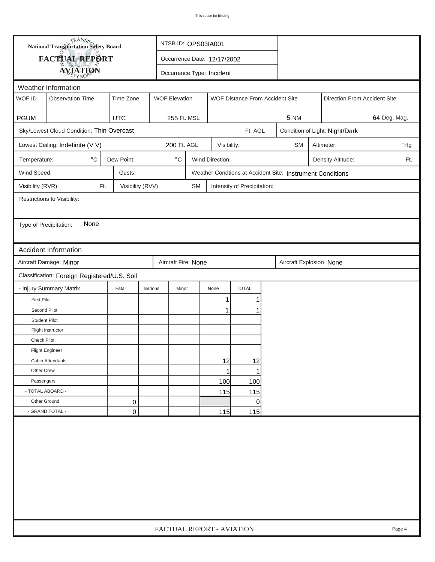| FACTUAL REPORT<br>Occurrence Date: 12/17/2002<br><b>AVIATION</b><br>Occurrence Type: Incident<br>Weather Information<br>WOF ID<br><b>Observation Time</b><br>Time Zone<br><b>WOF Elevation</b><br>WOF Distance From Accident Site<br>Direction From Accident Site<br><b>PGUM</b><br><b>UTC</b><br>64 Deg. Mag.<br>255 Ft. MSL<br><b>5 NM</b><br>Sky/Lowest Cloud Condition: Thin Overcast<br>Ft. AGL<br>Condition of Light: Night/Dark<br>200 Ft. AGL<br>Lowest Ceiling: Indefinite (V V)<br>Visibility:<br><b>SM</b><br>Altimeter:<br>$^\circ\mathrm{C}$<br>$^{\circ}$ C<br>Dew Point:<br>Wind Direction:<br>Temperature:<br>Density Altitude:<br>Ft.<br>Weather Condtions at Accident Site: Instrument Conditions<br>Wind Speed:<br>Gusts:<br>Visibility (RVR):<br>Visibility (RVV)<br>Ft.<br>SM<br>Intensity of Precipitation:<br>Restrictions to Visibility:<br>None<br>Type of Precipitation:<br>Accident Information<br>Aircraft Damage: Minor<br>Aircraft Fire: None<br>Aircraft Explosion None<br>Classification: Foreign Registered/U.S. Soil<br><b>TOTAL</b><br>- Injury Summary Matrix<br>Fatal<br>Serious<br>Minor<br>None<br><b>First Pilot</b><br>1<br>Second Pilot<br>1<br><b>Student Pilot</b><br>Flight Instructor<br>Check Pilot<br><b>Flight Engineer</b><br>12<br>12<br>Cabin Attendants<br>Other Crew<br>1<br>100<br>100<br>Passengers<br>- TOTAL ABOARD -<br>115<br>115 |  | <b>National Transportation Safety Board</b><br>NTSB ID: OPS03IA001 |   |                           |  |  |   |  |  |  |  |        |  |
|-----------------------------------------------------------------------------------------------------------------------------------------------------------------------------------------------------------------------------------------------------------------------------------------------------------------------------------------------------------------------------------------------------------------------------------------------------------------------------------------------------------------------------------------------------------------------------------------------------------------------------------------------------------------------------------------------------------------------------------------------------------------------------------------------------------------------------------------------------------------------------------------------------------------------------------------------------------------------------------------------------------------------------------------------------------------------------------------------------------------------------------------------------------------------------------------------------------------------------------------------------------------------------------------------------------------------------------------------------------------------------------------------|--|--------------------------------------------------------------------|---|---------------------------|--|--|---|--|--|--|--|--------|--|
|                                                                                                                                                                                                                                                                                                                                                                                                                                                                                                                                                                                                                                                                                                                                                                                                                                                                                                                                                                                                                                                                                                                                                                                                                                                                                                                                                                                               |  |                                                                    |   |                           |  |  |   |  |  |  |  |        |  |
|                                                                                                                                                                                                                                                                                                                                                                                                                                                                                                                                                                                                                                                                                                                                                                                                                                                                                                                                                                                                                                                                                                                                                                                                                                                                                                                                                                                               |  |                                                                    |   |                           |  |  |   |  |  |  |  |        |  |
|                                                                                                                                                                                                                                                                                                                                                                                                                                                                                                                                                                                                                                                                                                                                                                                                                                                                                                                                                                                                                                                                                                                                                                                                                                                                                                                                                                                               |  |                                                                    |   |                           |  |  |   |  |  |  |  |        |  |
|                                                                                                                                                                                                                                                                                                                                                                                                                                                                                                                                                                                                                                                                                                                                                                                                                                                                                                                                                                                                                                                                                                                                                                                                                                                                                                                                                                                               |  |                                                                    |   |                           |  |  |   |  |  |  |  |        |  |
|                                                                                                                                                                                                                                                                                                                                                                                                                                                                                                                                                                                                                                                                                                                                                                                                                                                                                                                                                                                                                                                                                                                                                                                                                                                                                                                                                                                               |  |                                                                    |   |                           |  |  |   |  |  |  |  |        |  |
|                                                                                                                                                                                                                                                                                                                                                                                                                                                                                                                                                                                                                                                                                                                                                                                                                                                                                                                                                                                                                                                                                                                                                                                                                                                                                                                                                                                               |  |                                                                    |   |                           |  |  |   |  |  |  |  |        |  |
|                                                                                                                                                                                                                                                                                                                                                                                                                                                                                                                                                                                                                                                                                                                                                                                                                                                                                                                                                                                                                                                                                                                                                                                                                                                                                                                                                                                               |  |                                                                    |   |                           |  |  |   |  |  |  |  |        |  |
|                                                                                                                                                                                                                                                                                                                                                                                                                                                                                                                                                                                                                                                                                                                                                                                                                                                                                                                                                                                                                                                                                                                                                                                                                                                                                                                                                                                               |  |                                                                    |   |                           |  |  |   |  |  |  |  | "Hg    |  |
|                                                                                                                                                                                                                                                                                                                                                                                                                                                                                                                                                                                                                                                                                                                                                                                                                                                                                                                                                                                                                                                                                                                                                                                                                                                                                                                                                                                               |  |                                                                    |   |                           |  |  |   |  |  |  |  |        |  |
|                                                                                                                                                                                                                                                                                                                                                                                                                                                                                                                                                                                                                                                                                                                                                                                                                                                                                                                                                                                                                                                                                                                                                                                                                                                                                                                                                                                               |  |                                                                    |   |                           |  |  |   |  |  |  |  |        |  |
|                                                                                                                                                                                                                                                                                                                                                                                                                                                                                                                                                                                                                                                                                                                                                                                                                                                                                                                                                                                                                                                                                                                                                                                                                                                                                                                                                                                               |  |                                                                    |   |                           |  |  |   |  |  |  |  |        |  |
|                                                                                                                                                                                                                                                                                                                                                                                                                                                                                                                                                                                                                                                                                                                                                                                                                                                                                                                                                                                                                                                                                                                                                                                                                                                                                                                                                                                               |  |                                                                    |   |                           |  |  |   |  |  |  |  |        |  |
|                                                                                                                                                                                                                                                                                                                                                                                                                                                                                                                                                                                                                                                                                                                                                                                                                                                                                                                                                                                                                                                                                                                                                                                                                                                                                                                                                                                               |  |                                                                    |   |                           |  |  |   |  |  |  |  |        |  |
|                                                                                                                                                                                                                                                                                                                                                                                                                                                                                                                                                                                                                                                                                                                                                                                                                                                                                                                                                                                                                                                                                                                                                                                                                                                                                                                                                                                               |  |                                                                    |   |                           |  |  |   |  |  |  |  |        |  |
|                                                                                                                                                                                                                                                                                                                                                                                                                                                                                                                                                                                                                                                                                                                                                                                                                                                                                                                                                                                                                                                                                                                                                                                                                                                                                                                                                                                               |  |                                                                    |   |                           |  |  |   |  |  |  |  |        |  |
|                                                                                                                                                                                                                                                                                                                                                                                                                                                                                                                                                                                                                                                                                                                                                                                                                                                                                                                                                                                                                                                                                                                                                                                                                                                                                                                                                                                               |  |                                                                    |   |                           |  |  |   |  |  |  |  |        |  |
|                                                                                                                                                                                                                                                                                                                                                                                                                                                                                                                                                                                                                                                                                                                                                                                                                                                                                                                                                                                                                                                                                                                                                                                                                                                                                                                                                                                               |  |                                                                    |   |                           |  |  |   |  |  |  |  |        |  |
|                                                                                                                                                                                                                                                                                                                                                                                                                                                                                                                                                                                                                                                                                                                                                                                                                                                                                                                                                                                                                                                                                                                                                                                                                                                                                                                                                                                               |  |                                                                    |   |                           |  |  |   |  |  |  |  |        |  |
|                                                                                                                                                                                                                                                                                                                                                                                                                                                                                                                                                                                                                                                                                                                                                                                                                                                                                                                                                                                                                                                                                                                                                                                                                                                                                                                                                                                               |  |                                                                    |   |                           |  |  |   |  |  |  |  |        |  |
|                                                                                                                                                                                                                                                                                                                                                                                                                                                                                                                                                                                                                                                                                                                                                                                                                                                                                                                                                                                                                                                                                                                                                                                                                                                                                                                                                                                               |  |                                                                    |   |                           |  |  |   |  |  |  |  |        |  |
|                                                                                                                                                                                                                                                                                                                                                                                                                                                                                                                                                                                                                                                                                                                                                                                                                                                                                                                                                                                                                                                                                                                                                                                                                                                                                                                                                                                               |  |                                                                    |   |                           |  |  |   |  |  |  |  |        |  |
|                                                                                                                                                                                                                                                                                                                                                                                                                                                                                                                                                                                                                                                                                                                                                                                                                                                                                                                                                                                                                                                                                                                                                                                                                                                                                                                                                                                               |  |                                                                    |   |                           |  |  |   |  |  |  |  |        |  |
|                                                                                                                                                                                                                                                                                                                                                                                                                                                                                                                                                                                                                                                                                                                                                                                                                                                                                                                                                                                                                                                                                                                                                                                                                                                                                                                                                                                               |  |                                                                    |   |                           |  |  |   |  |  |  |  |        |  |
|                                                                                                                                                                                                                                                                                                                                                                                                                                                                                                                                                                                                                                                                                                                                                                                                                                                                                                                                                                                                                                                                                                                                                                                                                                                                                                                                                                                               |  |                                                                    |   |                           |  |  |   |  |  |  |  |        |  |
|                                                                                                                                                                                                                                                                                                                                                                                                                                                                                                                                                                                                                                                                                                                                                                                                                                                                                                                                                                                                                                                                                                                                                                                                                                                                                                                                                                                               |  |                                                                    |   |                           |  |  |   |  |  |  |  |        |  |
|                                                                                                                                                                                                                                                                                                                                                                                                                                                                                                                                                                                                                                                                                                                                                                                                                                                                                                                                                                                                                                                                                                                                                                                                                                                                                                                                                                                               |  |                                                                    |   |                           |  |  |   |  |  |  |  |        |  |
|                                                                                                                                                                                                                                                                                                                                                                                                                                                                                                                                                                                                                                                                                                                                                                                                                                                                                                                                                                                                                                                                                                                                                                                                                                                                                                                                                                                               |  |                                                                    |   |                           |  |  |   |  |  |  |  |        |  |
|                                                                                                                                                                                                                                                                                                                                                                                                                                                                                                                                                                                                                                                                                                                                                                                                                                                                                                                                                                                                                                                                                                                                                                                                                                                                                                                                                                                               |  |                                                                    |   |                           |  |  |   |  |  |  |  |        |  |
|                                                                                                                                                                                                                                                                                                                                                                                                                                                                                                                                                                                                                                                                                                                                                                                                                                                                                                                                                                                                                                                                                                                                                                                                                                                                                                                                                                                               |  |                                                                    |   |                           |  |  |   |  |  |  |  |        |  |
| Other Ground                                                                                                                                                                                                                                                                                                                                                                                                                                                                                                                                                                                                                                                                                                                                                                                                                                                                                                                                                                                                                                                                                                                                                                                                                                                                                                                                                                                  |  |                                                                    | 0 |                           |  |  | 0 |  |  |  |  |        |  |
| - GRAND TOTAL -<br>0<br>115<br>115                                                                                                                                                                                                                                                                                                                                                                                                                                                                                                                                                                                                                                                                                                                                                                                                                                                                                                                                                                                                                                                                                                                                                                                                                                                                                                                                                            |  |                                                                    |   |                           |  |  |   |  |  |  |  |        |  |
|                                                                                                                                                                                                                                                                                                                                                                                                                                                                                                                                                                                                                                                                                                                                                                                                                                                                                                                                                                                                                                                                                                                                                                                                                                                                                                                                                                                               |  |                                                                    |   | FACTUAL REPORT - AVIATION |  |  |   |  |  |  |  | Page 4 |  |